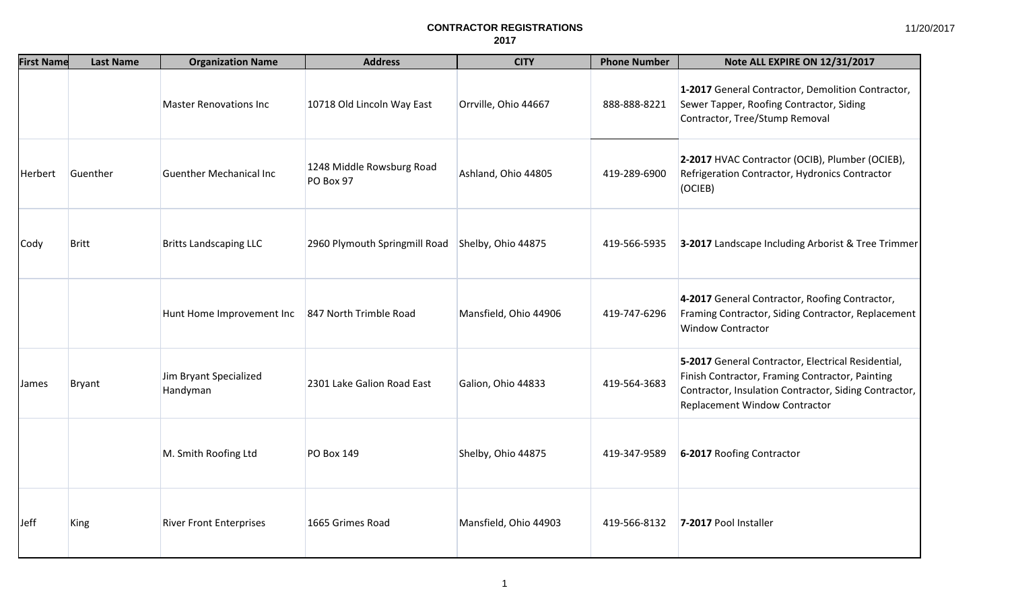| <b>First Name</b> | <b>Last Name</b> | <b>Organization Name</b>           | <b>Address</b>                         | <b>CITY</b>           | <b>Phone Number</b> | Note ALL EXPIRE ON 12/31/2017                                                                                                                                                                   |
|-------------------|------------------|------------------------------------|----------------------------------------|-----------------------|---------------------|-------------------------------------------------------------------------------------------------------------------------------------------------------------------------------------------------|
|                   |                  | <b>Master Renovations Inc</b>      | 10718 Old Lincoln Way East             | Orrville, Ohio 44667  | 888-888-8221        | 1-2017 General Contractor, Demolition Contractor,<br>Sewer Tapper, Roofing Contractor, Siding<br>Contractor, Tree/Stump Removal                                                                 |
| Herbert           | Guenther         | <b>Guenther Mechanical Inc</b>     | 1248 Middle Rowsburg Road<br>PO Box 97 | Ashland, Ohio 44805   | 419-289-6900        | 2-2017 HVAC Contractor (OCIB), Plumber (OCIEB),<br>Refrigeration Contractor, Hydronics Contractor<br>(OCIEB)                                                                                    |
| <b>Cody</b>       | <b>Britt</b>     | <b>Britts Landscaping LLC</b>      | 2960 Plymouth Springmill Road          | Shelby, Ohio 44875    | 419-566-5935        | 3-2017 Landscape Including Arborist & Tree Trimmer                                                                                                                                              |
|                   |                  | Hunt Home Improvement Inc          | 847 North Trimble Road                 | Mansfield, Ohio 44906 | 419-747-6296        | 4-2017 General Contractor, Roofing Contractor,<br>Framing Contractor, Siding Contractor, Replacement<br><b>Window Contractor</b>                                                                |
| <b>James</b>      | Bryant           | Jim Bryant Specialized<br>Handyman | 2301 Lake Galion Road East             | Galion, Ohio 44833    | 419-564-3683        | 5-2017 General Contractor, Electrical Residential,<br>Finish Contractor, Framing Contractor, Painting<br>Contractor, Insulation Contractor, Siding Contractor,<br>Replacement Window Contractor |
|                   |                  | M. Smith Roofing Ltd               | <b>PO Box 149</b>                      | Shelby, Ohio 44875    | 419-347-9589        | 6-2017 Roofing Contractor                                                                                                                                                                       |
| <b>Jeff</b>       | King             | <b>River Front Enterprises</b>     | 1665 Grimes Road                       | Mansfield, Ohio 44903 | 419-566-8132        | 7-2017 Pool Installer                                                                                                                                                                           |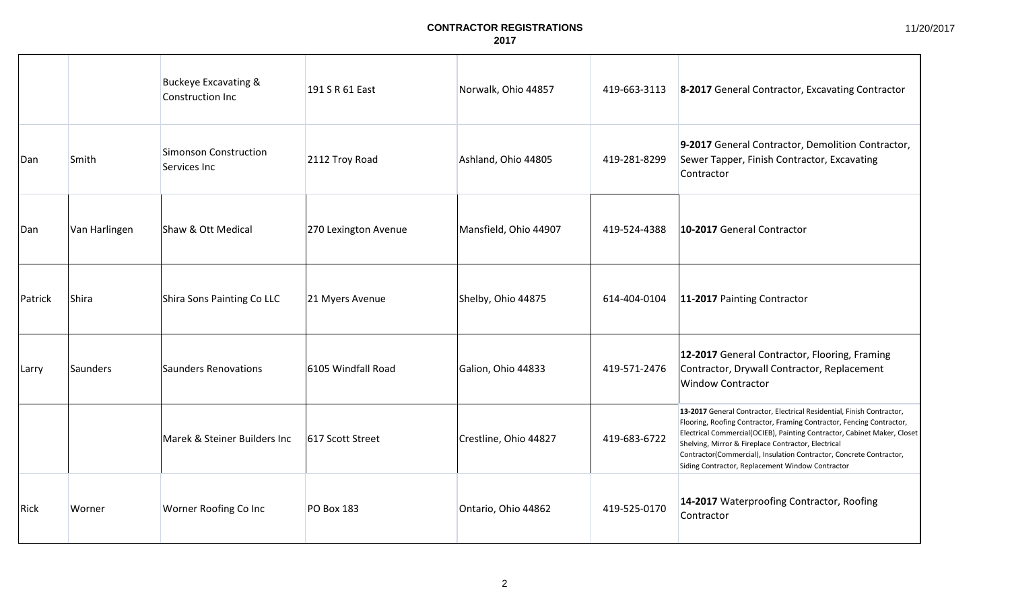|         |               | <b>Buckeye Excavating &amp;</b><br>Construction Inc | 191 S R 61 East      | Norwalk, Ohio 44857   | 419-663-3113 | 8-2017 General Contractor, Excavating Contractor                                                                                                                                                                                                                                                                                                                                                              |
|---------|---------------|-----------------------------------------------------|----------------------|-----------------------|--------------|---------------------------------------------------------------------------------------------------------------------------------------------------------------------------------------------------------------------------------------------------------------------------------------------------------------------------------------------------------------------------------------------------------------|
| Dan     | Smith         | <b>Simonson Construction</b><br>Services Inc        | 2112 Troy Road       | Ashland, Ohio 44805   | 419-281-8299 | 9-2017 General Contractor, Demolition Contractor,<br>Sewer Tapper, Finish Contractor, Excavating<br>Contractor                                                                                                                                                                                                                                                                                                |
| Dan     | Van Harlingen | Shaw & Ott Medical                                  | 270 Lexington Avenue | Mansfield, Ohio 44907 | 419-524-4388 | 10-2017 General Contractor                                                                                                                                                                                                                                                                                                                                                                                    |
| Patrick | Shira         | Shira Sons Painting Co LLC                          | 21 Myers Avenue      | Shelby, Ohio 44875    | 614-404-0104 | 11-2017 Painting Contractor                                                                                                                                                                                                                                                                                                                                                                                   |
| Larry   | Saunders      | <b>Saunders Renovations</b>                         | 6105 Windfall Road   | Galion, Ohio 44833    | 419-571-2476 | 12-2017 General Contractor, Flooring, Framing<br>Contractor, Drywall Contractor, Replacement<br><b>Window Contractor</b>                                                                                                                                                                                                                                                                                      |
|         |               | Marek & Steiner Builders Inc                        | 617 Scott Street     | Crestline, Ohio 44827 | 419-683-6722 | 13-2017 General Contractor, Electrical Residential, Finish Contractor,<br>Flooring, Roofing Contractor, Framing Contractor, Fencing Contractor,<br>Electrical Commercial(OCIEB), Painting Contractor, Cabinet Maker, Closet<br>Shelving, Mirror & Fireplace Contractor, Electrical<br>Contractor(Commercial), Insulation Contractor, Concrete Contractor,<br>Siding Contractor, Replacement Window Contractor |
| Rick    | Worner        | Worner Roofing Co Inc                               | <b>PO Box 183</b>    | Ontario, Ohio 44862   | 419-525-0170 | 14-2017 Waterproofing Contractor, Roofing<br>Contractor                                                                                                                                                                                                                                                                                                                                                       |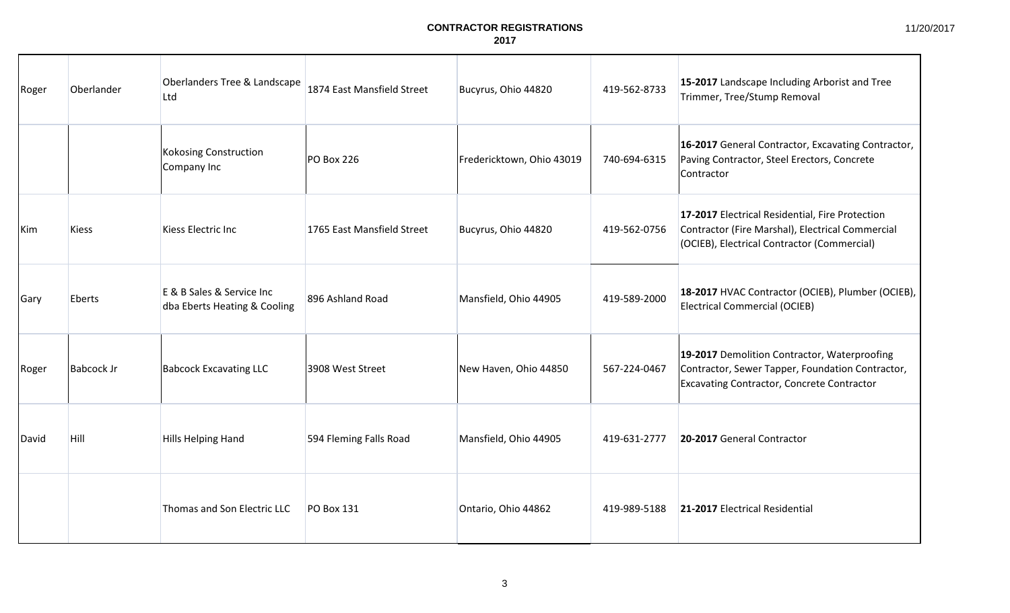| Roger | Oberlander        | Oberlanders Tree & Landscape<br>Ltd                       | 1874 East Mansfield Street | Bucyrus, Ohio 44820       | 419-562-8733 | 15-2017 Landscape Including Arborist and Tree<br>Trimmer, Tree/Stump Removal                                                                          |
|-------|-------------------|-----------------------------------------------------------|----------------------------|---------------------------|--------------|-------------------------------------------------------------------------------------------------------------------------------------------------------|
|       |                   | <b>Kokosing Construction</b><br>Company Inc               | PO Box 226                 | Fredericktown, Ohio 43019 | 740-694-6315 | 16-2017 General Contractor, Excavating Contractor,<br>Paving Contractor, Steel Erectors, Concrete<br>Contractor                                       |
| lKim  | <b>Kiess</b>      | Kiess Electric Inc                                        | 1765 East Mansfield Street | Bucyrus, Ohio 44820       | 419-562-0756 | 17-2017 Electrical Residential, Fire Protection<br>Contractor (Fire Marshal), Electrical Commercial<br>(OCIEB), Electrical Contractor (Commercial)    |
| Gary  | Eberts            | E & B Sales & Service Inc<br>dba Eberts Heating & Cooling | 896 Ashland Road           | Mansfield, Ohio 44905     | 419-589-2000 | 18-2017 HVAC Contractor (OCIEB), Plumber (OCIEB),<br><b>Electrical Commercial (OCIEB)</b>                                                             |
| Roger | <b>Babcock Jr</b> | <b>Babcock Excavating LLC</b>                             | 3908 West Street           | New Haven, Ohio 44850     | 567-224-0467 | 19-2017 Demolition Contractor, Waterproofing<br>Contractor, Sewer Tapper, Foundation Contractor,<br><b>Excavating Contractor, Concrete Contractor</b> |
| David | <b>Hill</b>       | <b>Hills Helping Hand</b>                                 | 594 Fleming Falls Road     | Mansfield, Ohio 44905     | 419-631-2777 | 20-2017 General Contractor                                                                                                                            |
|       |                   | Thomas and Son Electric LLC                               | <b>PO Box 131</b>          | Ontario, Ohio 44862       | 419-989-5188 | 21-2017 Electrical Residential                                                                                                                        |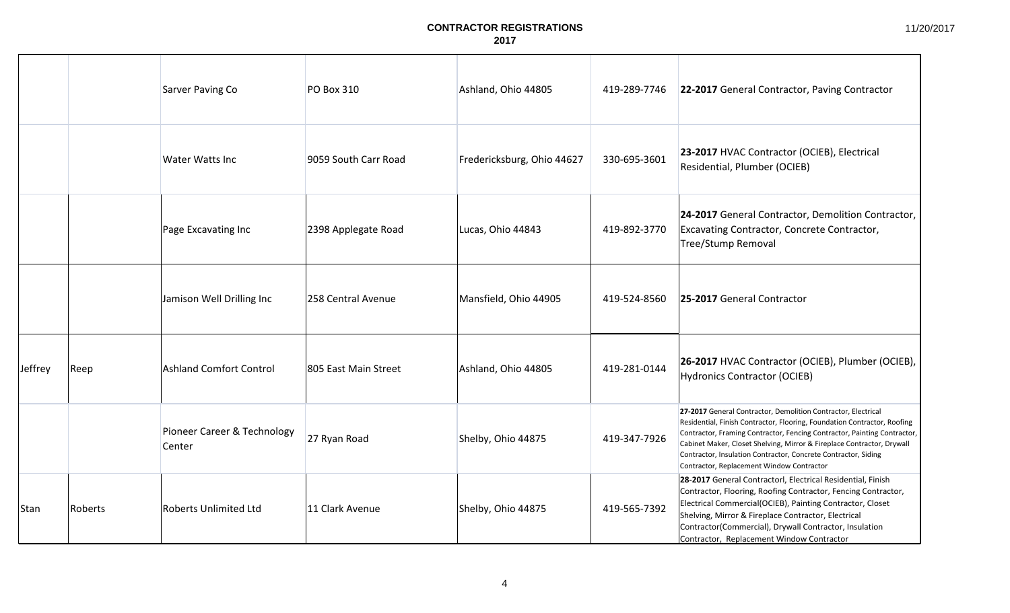|         |         | Sarver Paving Co                      | <b>PO Box 310</b>    | Ashland, Ohio 44805        | 419-289-7746 | 22-2017 General Contractor, Paving Contractor                                                                                                                                                                                                                                                                                                                                                                  |
|---------|---------|---------------------------------------|----------------------|----------------------------|--------------|----------------------------------------------------------------------------------------------------------------------------------------------------------------------------------------------------------------------------------------------------------------------------------------------------------------------------------------------------------------------------------------------------------------|
|         |         | Water Watts Inc                       | 9059 South Carr Road | Fredericksburg, Ohio 44627 | 330-695-3601 | 23-2017 HVAC Contractor (OCIEB), Electrical<br>Residential, Plumber (OCIEB)                                                                                                                                                                                                                                                                                                                                    |
|         |         | Page Excavating Inc                   | 2398 Applegate Road  | Lucas, Ohio 44843          | 419-892-3770 | 24-2017 General Contractor, Demolition Contractor,<br>Excavating Contractor, Concrete Contractor,<br>Tree/Stump Removal                                                                                                                                                                                                                                                                                        |
|         |         | Jamison Well Drilling Inc             | 258 Central Avenue   | Mansfield, Ohio 44905      | 419-524-8560 | 25-2017 General Contractor                                                                                                                                                                                                                                                                                                                                                                                     |
| Jeffrey | Reep    | <b>Ashland Comfort Control</b>        | 805 East Main Street | Ashland, Ohio 44805        | 419-281-0144 | 26-2017 HVAC Contractor (OCIEB), Plumber (OCIEB),<br>Hydronics Contractor (OCIEB)                                                                                                                                                                                                                                                                                                                              |
|         |         | Pioneer Career & Technology<br>Center | 27 Ryan Road         | Shelby, Ohio 44875         | 419-347-7926 | 27-2017 General Contractor, Demolition Contractor, Electrical<br>Residential, Finish Contractor, Flooring, Foundation Contractor, Roofing<br>Contractor, Framing Contractor, Fencing Contractor, Painting Contractor,<br>Cabinet Maker, Closet Shelving, Mirror & Fireplace Contractor, Drywall<br>Contractor, Insulation Contractor, Concrete Contractor, Siding<br>Contractor, Replacement Window Contractor |
| Stan    | Roberts | Roberts Unlimited Ltd                 | 11 Clark Avenue      | Shelby, Ohio 44875         | 419-565-7392 | 28-2017 General Contractorl, Electrical Residential, Finish<br>Contractor, Flooring, Roofing Contractor, Fencing Contractor,<br>Electrical Commercial(OCIEB), Painting Contractor, Closet<br>Shelving, Mirror & Fireplace Contractor, Electrical<br>Contractor(Commercial), Drywall Contractor, Insulation<br>Contractor, Replacement Window Contractor                                                        |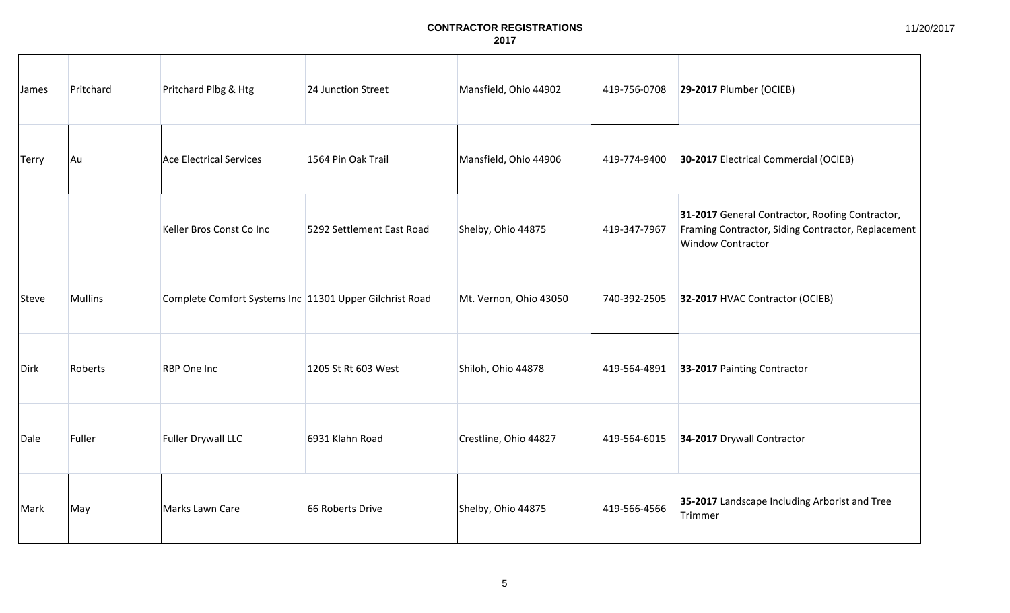| James        | Pritchard      | Pritchard Plbg & Htg                                    | 24 Junction Street        | Mansfield, Ohio 44902  | 419-756-0708 | 29-2017 Plumber (OCIEB)                                                                                                           |
|--------------|----------------|---------------------------------------------------------|---------------------------|------------------------|--------------|-----------------------------------------------------------------------------------------------------------------------------------|
| <b>Terry</b> | Au             | Ace Electrical Services                                 | 1564 Pin Oak Trail        | Mansfield, Ohio 44906  | 419-774-9400 | 30-2017 Electrical Commercial (OCIEB)                                                                                             |
|              |                | Keller Bros Const Co Inc                                | 5292 Settlement East Road | Shelby, Ohio 44875     | 419-347-7967 | 31-2017 General Contractor, Roofing Contractor,<br>Framing Contractor, Siding Contractor, Replacement<br><b>Window Contractor</b> |
| Steve        | <b>Mullins</b> | Complete Comfort Systems Inc 11301 Upper Gilchrist Road |                           | Mt. Vernon, Ohio 43050 | 740-392-2505 | 32-2017 HVAC Contractor (OCIEB)                                                                                                   |
| Dirk         | Roberts        | RBP One Inc                                             | 1205 St Rt 603 West       | Shiloh, Ohio 44878     | 419-564-4891 | 33-2017 Painting Contractor                                                                                                       |
| Dale         | Fuller         | <b>Fuller Drywall LLC</b>                               | 6931 Klahn Road           | Crestline, Ohio 44827  | 419-564-6015 | 34-2017 Drywall Contractor                                                                                                        |
| Mark         | May            | Marks Lawn Care                                         | 66 Roberts Drive          | Shelby, Ohio 44875     | 419-566-4566 | 35-2017 Landscape Including Arborist and Tree<br>Trimmer                                                                          |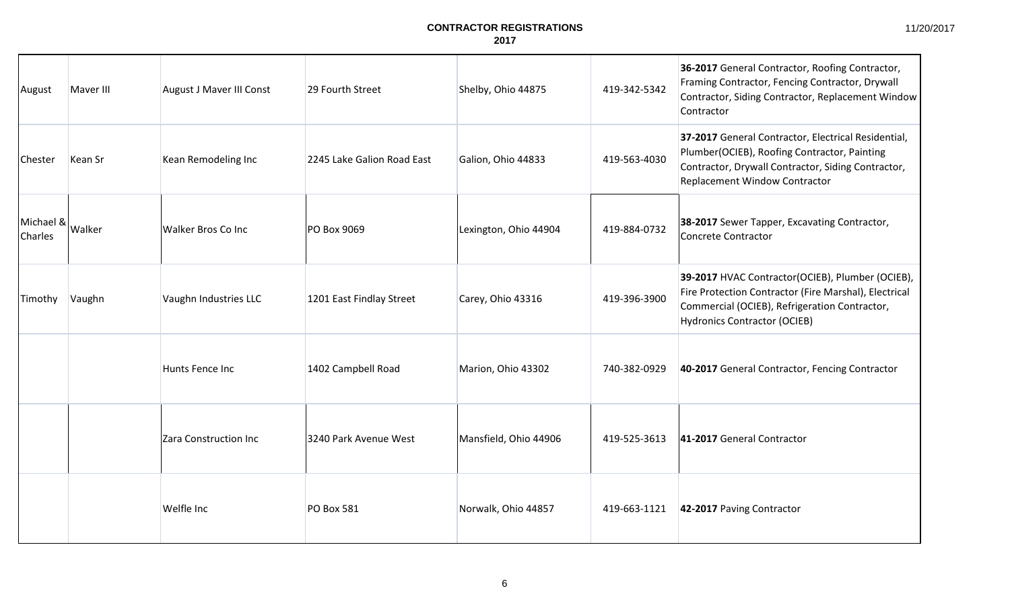| August               | Maver III | August J Maver III Const  | 29 Fourth Street           | Shelby, Ohio 44875    | 419-342-5342 | 36-2017 General Contractor, Roofing Contractor,<br>Framing Contractor, Fencing Contractor, Drywall<br>Contractor, Siding Contractor, Replacement Window<br>Contractor                             |
|----------------------|-----------|---------------------------|----------------------------|-----------------------|--------------|---------------------------------------------------------------------------------------------------------------------------------------------------------------------------------------------------|
| Chester              | Kean Sr   | Kean Remodeling Inc       | 2245 Lake Galion Road East | Galion, Ohio 44833    | 419-563-4030 | 37-2017 General Contractor, Electrical Residential,<br>Plumber(OCIEB), Roofing Contractor, Painting<br>Contractor, Drywall Contractor, Siding Contractor,<br>Replacement Window Contractor        |
| Michael &<br>Charles | Walker    | <b>Walker Bros Co Inc</b> | <b>PO Box 9069</b>         | Lexington, Ohio 44904 | 419-884-0732 | 38-2017 Sewer Tapper, Excavating Contractor,<br><b>Concrete Contractor</b>                                                                                                                        |
| Timothy              | Vaughn    | Vaughn Industries LLC     | 1201 East Findlay Street   | Carey, Ohio 43316     | 419-396-3900 | 39-2017 HVAC Contractor(OCIEB), Plumber (OCIEB),<br>Fire Protection Contractor (Fire Marshal), Electrical<br>Commercial (OCIEB), Refrigeration Contractor,<br><b>Hydronics Contractor (OCIEB)</b> |
|                      |           | Hunts Fence Inc           | 1402 Campbell Road         | Marion, Ohio 43302    | 740-382-0929 | 40-2017 General Contractor, Fencing Contractor                                                                                                                                                    |
|                      |           | Zara Construction Inc     | 3240 Park Avenue West      | Mansfield, Ohio 44906 | 419-525-3613 | 41-2017 General Contractor                                                                                                                                                                        |
|                      |           | Welfle Inc                | <b>PO Box 581</b>          | Norwalk, Ohio 44857   | 419-663-1121 | 42-2017 Paving Contractor                                                                                                                                                                         |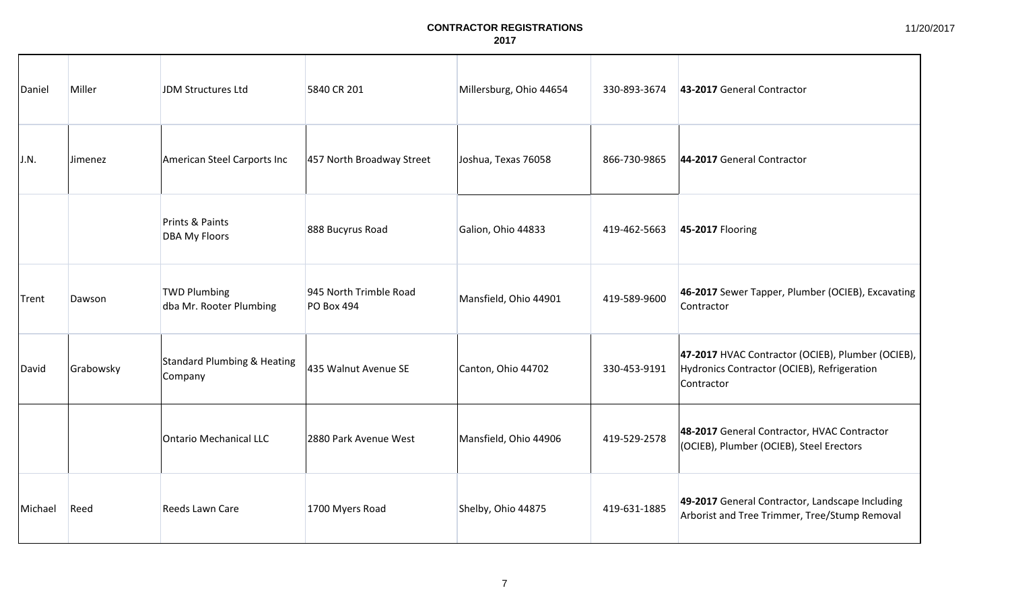| Daniel  | Miller    | JDM Structures Ltd                             | 5840 CR 201                                 | Millersburg, Ohio 44654 | 330-893-3674 | 43-2017 General Contractor                                                                                     |
|---------|-----------|------------------------------------------------|---------------------------------------------|-------------------------|--------------|----------------------------------------------------------------------------------------------------------------|
| J.N.    | Jimenez   | American Steel Carports Inc                    | 457 North Broadway Street                   | Joshua, Texas 76058     | 866-730-9865 | 44-2017 General Contractor                                                                                     |
|         |           | Prints & Paints<br><b>DBA My Floors</b>        | 888 Bucyrus Road                            | Galion, Ohio 44833      | 419-462-5663 | 45-2017 Flooring                                                                                               |
| Trent   | Dawson    | <b>TWD Plumbing</b><br>dba Mr. Rooter Plumbing | 945 North Trimble Road<br><b>PO Box 494</b> | Mansfield, Ohio 44901   | 419-589-9600 | 46-2017 Sewer Tapper, Plumber (OCIEB), Excavating<br>Contractor                                                |
| David   | Grabowsky | Standard Plumbing & Heating<br>Company         | 435 Walnut Avenue SE                        | Canton, Ohio 44702      | 330-453-9191 | 47-2017 HVAC Contractor (OCIEB), Plumber (OCIEB),<br>Hydronics Contractor (OCIEB), Refrigeration<br>Contractor |
|         |           | Ontario Mechanical LLC                         | 2880 Park Avenue West                       | Mansfield, Ohio 44906   | 419-529-2578 | 48-2017 General Contractor, HVAC Contractor<br>(OCIEB), Plumber (OCIEB), Steel Erectors                        |
| Michael | Reed      | Reeds Lawn Care                                | 1700 Myers Road                             | Shelby, Ohio 44875      | 419-631-1885 | 49-2017 General Contractor, Landscape Including<br>Arborist and Tree Trimmer, Tree/Stump Removal               |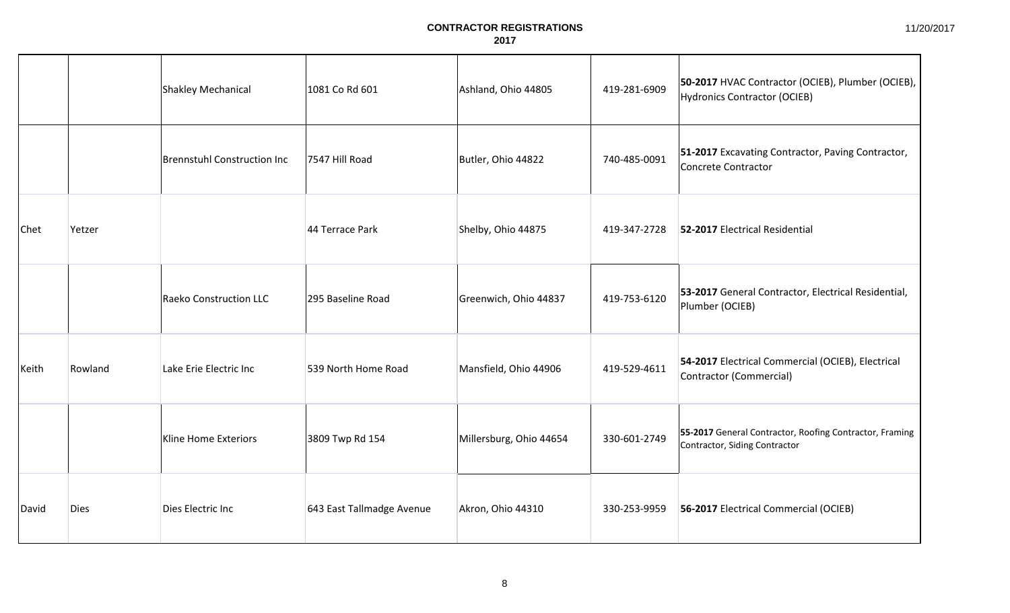|              |             | Shakley Mechanical                 | 1081 Co Rd 601            | Ashland, Ohio 44805     | 419-281-6909 | 50-2017 HVAC Contractor (OCIEB), Plumber (OCIEB),<br>Hydronics Contractor (OCIEB)        |
|--------------|-------------|------------------------------------|---------------------------|-------------------------|--------------|------------------------------------------------------------------------------------------|
|              |             | <b>Brennstuhl Construction Inc</b> | 7547 Hill Road            | Butler, Ohio 44822      | 740-485-0091 | <b>51-2017</b> Excavating Contractor, Paving Contractor,<br>Concrete Contractor          |
| <b>Chet</b>  | Yetzer      |                                    | 44 Terrace Park           | Shelby, Ohio 44875      | 419-347-2728 | 52-2017 Electrical Residential                                                           |
|              |             | <b>Raeko Construction LLC</b>      | 295 Baseline Road         | Greenwich, Ohio 44837   | 419-753-6120 | 53-2017 General Contractor, Electrical Residential,<br>Plumber (OCIEB)                   |
| Keith        | Rowland     | Lake Erie Electric Inc             | 539 North Home Road       | Mansfield, Ohio 44906   | 419-529-4611 | 54-2017 Electrical Commercial (OCIEB), Electrical<br>Contractor (Commercial)             |
|              |             | Kline Home Exteriors               | 3809 Twp Rd 154           | Millersburg, Ohio 44654 | 330-601-2749 | 55-2017 General Contractor, Roofing Contractor, Framing<br>Contractor, Siding Contractor |
| <b>David</b> | <b>Dies</b> | Dies Electric Inc                  | 643 East Tallmadge Avenue | Akron, Ohio 44310       | 330-253-9959 | 56-2017 Electrical Commercial (OCIEB)                                                    |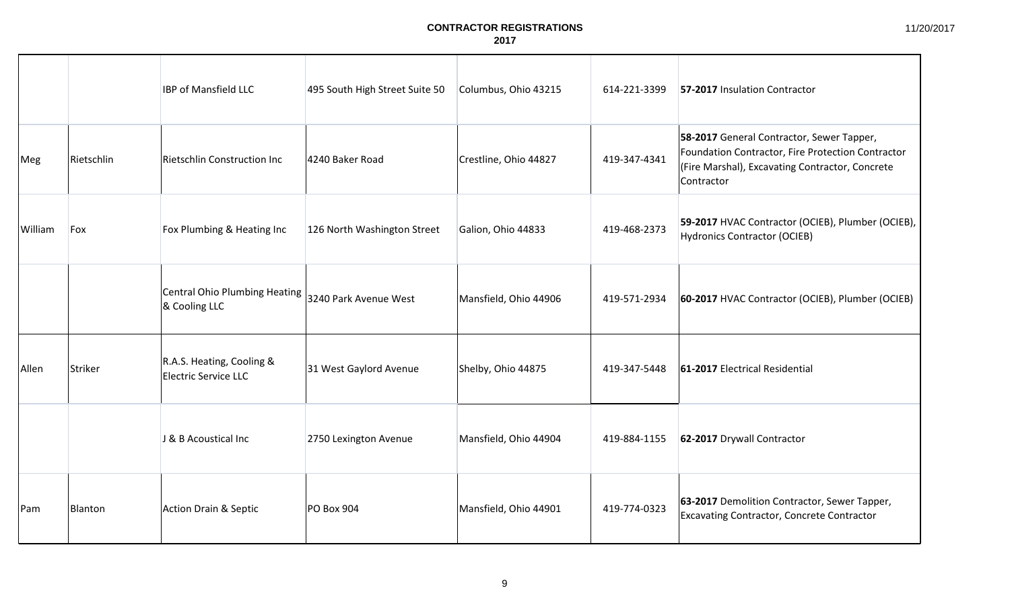|         |            | <b>IBP of Mansfield LLC</b>                       | 495 South High Street Suite 50 | Columbus, Ohio 43215  | 614-221-3399 | 57-2017 Insulation Contractor                                                                                                                                   |
|---------|------------|---------------------------------------------------|--------------------------------|-----------------------|--------------|-----------------------------------------------------------------------------------------------------------------------------------------------------------------|
| Meg     | Rietschlin | Rietschlin Construction Inc                       | 4240 Baker Road                | Crestline, Ohio 44827 | 419-347-4341 | 58-2017 General Contractor, Sewer Tapper,<br>Foundation Contractor, Fire Protection Contractor<br>(Fire Marshal), Excavating Contractor, Concrete<br>Contractor |
| William | Fox        | Fox Plumbing & Heating Inc                        | 126 North Washington Street    | Galion, Ohio 44833    | 419-468-2373 | 59-2017 HVAC Contractor (OCIEB), Plumber (OCIEB),<br><b>Hydronics Contractor (OCIEB)</b>                                                                        |
|         |            | Central Ohio Plumbing Heating<br>& Cooling LLC    | 3240 Park Avenue West          | Mansfield, Ohio 44906 | 419-571-2934 | 60-2017 HVAC Contractor (OCIEB), Plumber (OCIEB)                                                                                                                |
| Allen   | Striker    | R.A.S. Heating, Cooling &<br>Electric Service LLC | 31 West Gaylord Avenue         | Shelby, Ohio 44875    | 419-347-5448 | 61-2017 Electrical Residential                                                                                                                                  |
|         |            | J & B Acoustical Inc                              | 2750 Lexington Avenue          | Mansfield, Ohio 44904 | 419-884-1155 | 62-2017 Drywall Contractor                                                                                                                                      |
| Pam     | Blanton    | Action Drain & Septic                             | PO Box 904                     | Mansfield, Ohio 44901 | 419-774-0323 | 63-2017 Demolition Contractor, Sewer Tapper,<br>Excavating Contractor, Concrete Contractor                                                                      |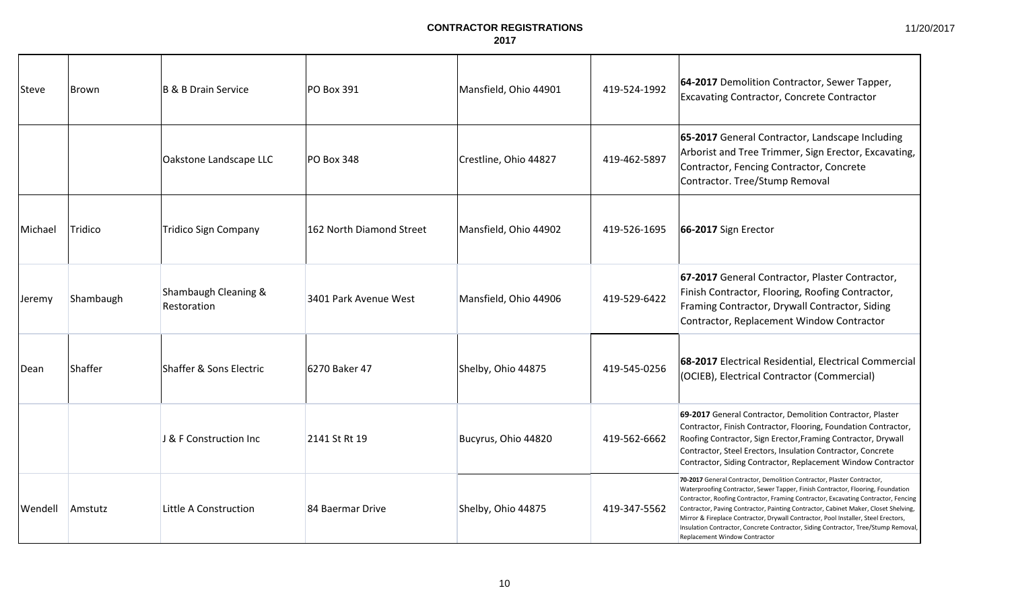| <b>Steve</b> | Brown     | B & B Drain Service                 | PO Box 391               | Mansfield, Ohio 44901 | 419-524-1992 | 64-2017 Demolition Contractor, Sewer Tapper,<br><b>Excavating Contractor, Concrete Contractor</b>                                                                                                                                                                                                                                                                                                                                                                                                                                                   |
|--------------|-----------|-------------------------------------|--------------------------|-----------------------|--------------|-----------------------------------------------------------------------------------------------------------------------------------------------------------------------------------------------------------------------------------------------------------------------------------------------------------------------------------------------------------------------------------------------------------------------------------------------------------------------------------------------------------------------------------------------------|
|              |           | Oakstone Landscape LLC              | PO Box 348               | Crestline, Ohio 44827 | 419-462-5897 | 65-2017 General Contractor, Landscape Including<br>Arborist and Tree Trimmer, Sign Erector, Excavating,<br>Contractor, Fencing Contractor, Concrete<br>Contractor. Tree/Stump Removal                                                                                                                                                                                                                                                                                                                                                               |
| Michael      | Tridico   | <b>Tridico Sign Company</b>         | 162 North Diamond Street | Mansfield, Ohio 44902 | 419-526-1695 | 66-2017 Sign Erector                                                                                                                                                                                                                                                                                                                                                                                                                                                                                                                                |
| Jeremy       | Shambaugh | Shambaugh Cleaning &<br>Restoration | 3401 Park Avenue West    | Mansfield, Ohio 44906 | 419-529-6422 | 67-2017 General Contractor, Plaster Contractor,<br>Finish Contractor, Flooring, Roofing Contractor,<br>Framing Contractor, Drywall Contractor, Siding<br>Contractor, Replacement Window Contractor                                                                                                                                                                                                                                                                                                                                                  |
| <b>Dean</b>  | Shaffer   | Shaffer & Sons Electric             | 6270 Baker 47            | Shelby, Ohio 44875    | 419-545-0256 | 68-2017 Electrical Residential, Electrical Commercial<br>(OCIEB), Electrical Contractor (Commercial)                                                                                                                                                                                                                                                                                                                                                                                                                                                |
|              |           | J & F Construction Inc              | 2141 St Rt 19            | Bucyrus, Ohio 44820   | 419-562-6662 | 69-2017 General Contractor, Demolition Contractor, Plaster<br>Contractor, Finish Contractor, Flooring, Foundation Contractor,<br>Roofing Contractor, Sign Erector, Framing Contractor, Drywall<br>Contractor, Steel Erectors, Insulation Contractor, Concrete<br>Contractor, Siding Contractor, Replacement Window Contractor                                                                                                                                                                                                                       |
| Wendell      | Amstutz   | Little A Construction               | 84 Baermar Drive         | Shelby, Ohio 44875    | 419-347-5562 | 70-2017 General Contractor, Demolition Contractor, Plaster Contractor,<br>Waterproofing Contractor, Sewer Tapper, Finish Contractor, Flooring, Foundation<br>Contractor, Roofing Contractor, Framing Contractor, Excavating Contractor, Fencing<br>Contractor, Paving Contractor, Painting Contractor, Cabinet Maker, Closet Shelving,<br>Mirror & Fireplace Contractor, Drywall Contractor, Pool Installer, Steel Erectors,<br>Insulation Contractor, Concrete Contractor, Siding Contractor, Tree/Stump Removal,<br>Replacement Window Contractor |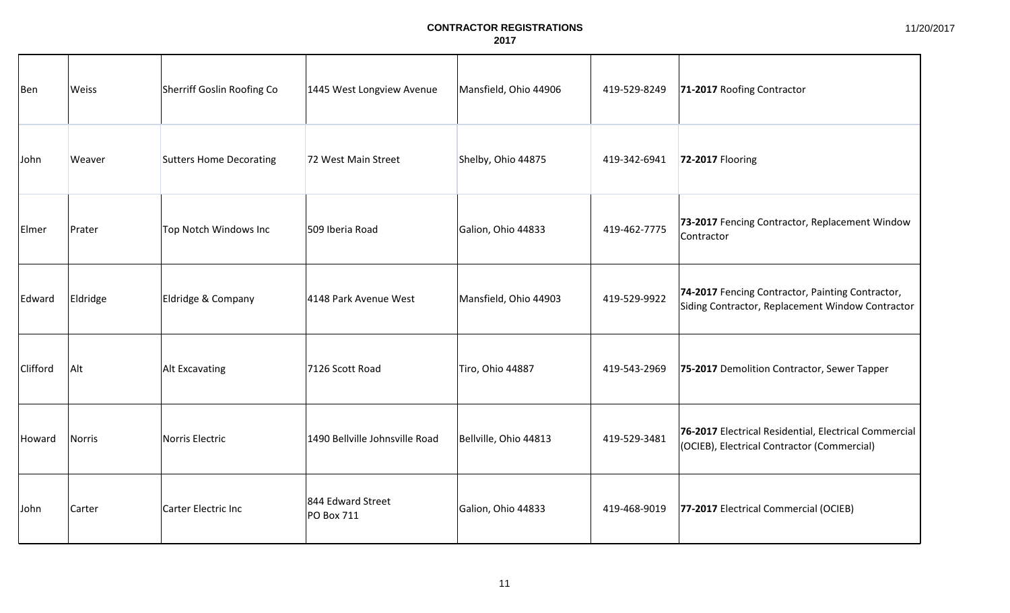| Ben      | Weiss    | Sherriff Goslin Roofing Co     | 1445 West Longview Avenue              | Mansfield, Ohio 44906 | 419-529-8249 | 71-2017 Roofing Contractor                                                                           |
|----------|----------|--------------------------------|----------------------------------------|-----------------------|--------------|------------------------------------------------------------------------------------------------------|
| John     | Weaver   | <b>Sutters Home Decorating</b> | 72 West Main Street                    | Shelby, Ohio 44875    | 419-342-6941 | 72-2017 Flooring                                                                                     |
| Elmer    | Prater   | Top Notch Windows Inc          | 509 Iberia Road                        | Galion, Ohio 44833    | 419-462-7775 | 73-2017 Fencing Contractor, Replacement Window<br>Contractor                                         |
| Edward   | Eldridge | Eldridge & Company             | 4148 Park Avenue West                  | Mansfield, Ohio 44903 | 419-529-9922 | 74-2017 Fencing Contractor, Painting Contractor,<br>Siding Contractor, Replacement Window Contractor |
| Clifford | Alt      | Alt Excavating                 | 7126 Scott Road                        | Tiro, Ohio 44887      | 419-543-2969 | 75-2017 Demolition Contractor, Sewer Tapper                                                          |
| Howard   | Norris   | Norris Electric                | 1490 Bellville Johnsville Road         | Bellville, Ohio 44813 | 419-529-3481 | 76-2017 Electrical Residential, Electrical Commercial<br>(OCIEB), Electrical Contractor (Commercial) |
| John     | Carter   | Carter Electric Inc            | 844 Edward Street<br><b>PO Box 711</b> | Galion, Ohio 44833    | 419-468-9019 | 77-2017 Electrical Commercial (OCIEB)                                                                |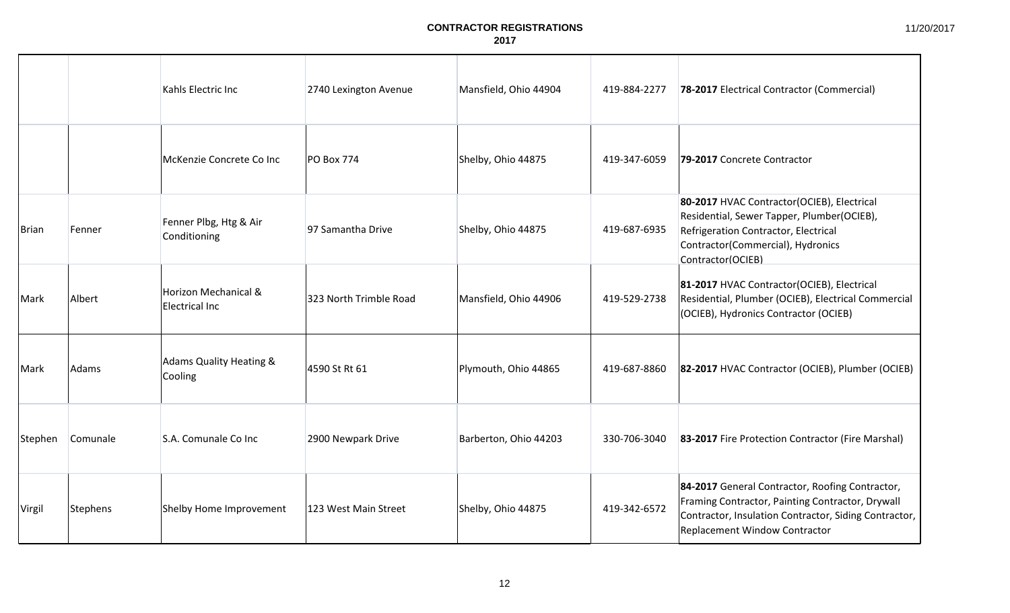|              |          | Kahls Electric Inc                     | 2740 Lexington Avenue  | Mansfield, Ohio 44904 | 419-884-2277 | 78-2017 Electrical Contractor (Commercial)                                                                                                                                                    |
|--------------|----------|----------------------------------------|------------------------|-----------------------|--------------|-----------------------------------------------------------------------------------------------------------------------------------------------------------------------------------------------|
|              |          | McKenzie Concrete Co Inc               | <b>PO Box 774</b>      | Shelby, Ohio 44875    | 419-347-6059 | 79-2017 Concrete Contractor                                                                                                                                                                   |
| <b>Brian</b> | Fenner   | Fenner Plbg, Htg & Air<br>Conditioning | 97 Samantha Drive      | Shelby, Ohio 44875    | 419-687-6935 | 80-2017 HVAC Contractor(OCIEB), Electrical<br>Residential, Sewer Tapper, Plumber(OCIEB),<br>Refrigeration Contractor, Electrical<br>Contractor(Commercial), Hydronics<br>Contractor(OCIEB)    |
| Mark         | Albert   | Horizon Mechanical &<br>Electrical Inc | 323 North Trimble Road | Mansfield, Ohio 44906 | 419-529-2738 | 81-2017 HVAC Contractor(OCIEB), Electrical<br>Residential, Plumber (OCIEB), Electrical Commercial<br>(OCIEB), Hydronics Contractor (OCIEB)                                                    |
| Mark         | Adams    | Adams Quality Heating &<br>Cooling     | 4590 St Rt 61          | Plymouth, Ohio 44865  | 419-687-8860 | 82-2017 HVAC Contractor (OCIEB), Plumber (OCIEB)                                                                                                                                              |
| Stephen      | Comunale | S.A. Comunale Co Inc                   | 2900 Newpark Drive     | Barberton, Ohio 44203 | 330-706-3040 | 83-2017 Fire Protection Contractor (Fire Marshal)                                                                                                                                             |
| Virgil       | Stephens | Shelby Home Improvement                | 123 West Main Street   | Shelby, Ohio 44875    | 419-342-6572 | 84-2017 General Contractor, Roofing Contractor,<br>Framing Contractor, Painting Contractor, Drywall<br>Contractor, Insulation Contractor, Siding Contractor,<br>Replacement Window Contractor |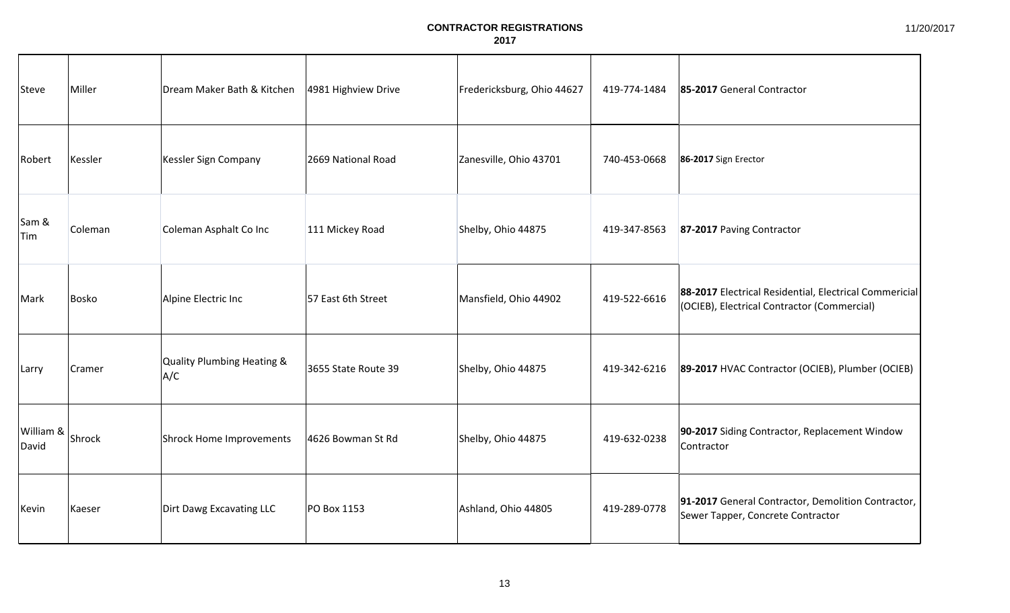| Steve              | Miller  | Dream Maker Bath & Kitchen        | 4981 Highview Drive | Fredericksburg, Ohio 44627 | 419-774-1484 | 85-2017 General Contractor                                                                            |
|--------------------|---------|-----------------------------------|---------------------|----------------------------|--------------|-------------------------------------------------------------------------------------------------------|
| Robert             | Kessler | Kessler Sign Company              | 2669 National Road  | Zanesville, Ohio 43701     | 740-453-0668 | 86-2017 Sign Erector                                                                                  |
| Sam &<br>Tim       | Coleman | Coleman Asphalt Co Inc            | 111 Mickey Road     | Shelby, Ohio 44875         | 419-347-8563 | 87-2017 Paving Contractor                                                                             |
| Mark               | Bosko   | Alpine Electric Inc               | 57 East 6th Street  | Mansfield, Ohio 44902      | 419-522-6616 | 88-2017 Electrical Residential, Electrical Commericial<br>(OCIEB), Electrical Contractor (Commercial) |
| Larry              | Cramer  | Quality Plumbing Heating &<br>A/C | 3655 State Route 39 | Shelby, Ohio 44875         | 419-342-6216 | 89-2017 HVAC Contractor (OCIEB), Plumber (OCIEB)                                                      |
| William &<br>David | Shrock  | Shrock Home Improvements          | 4626 Bowman St Rd   | Shelby, Ohio 44875         | 419-632-0238 | 90-2017 Siding Contractor, Replacement Window<br>Contractor                                           |
| Kevin              | Kaeser  | Dirt Dawg Excavating LLC          | PO Box 1153         | Ashland, Ohio 44805        | 419-289-0778 | 91-2017 General Contractor, Demolition Contractor,<br>Sewer Tapper, Concrete Contractor               |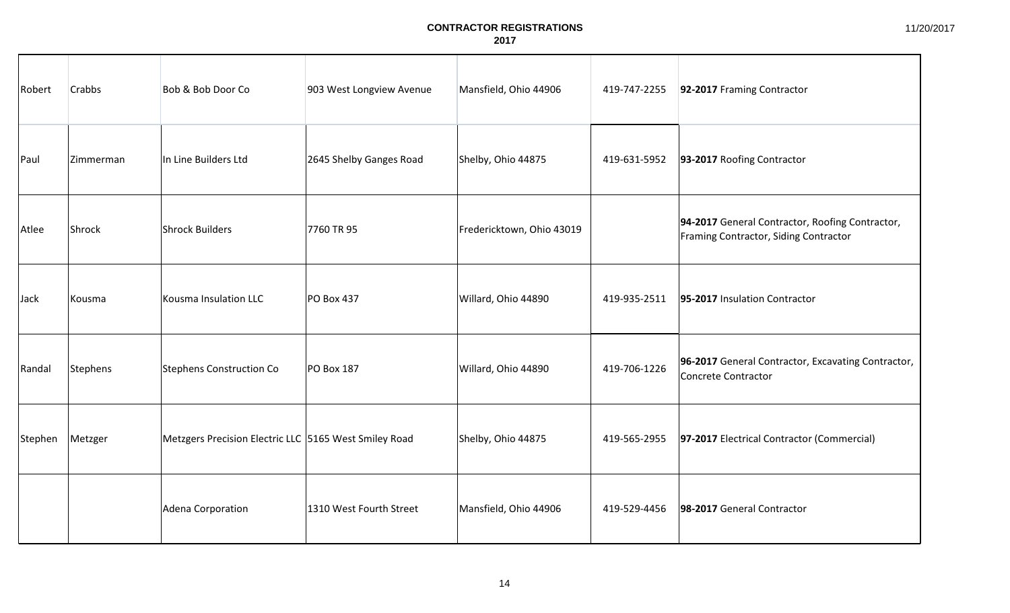| Robert  | <b>Crabbs</b> | Bob & Bob Door Co                                     | 903 West Longview Avenue | Mansfield, Ohio 44906     | 419-747-2255 | 92-2017 Framing Contractor                                                               |
|---------|---------------|-------------------------------------------------------|--------------------------|---------------------------|--------------|------------------------------------------------------------------------------------------|
| Paul    | Zimmerman     | In Line Builders Ltd                                  | 2645 Shelby Ganges Road  | Shelby, Ohio 44875        | 419-631-5952 | 93-2017 Roofing Contractor                                                               |
| Atlee   | Shrock        | Shrock Builders                                       | 7760 TR 95               | Fredericktown, Ohio 43019 |              | 94-2017 General Contractor, Roofing Contractor,<br>Framing Contractor, Siding Contractor |
| Jack    | Kousma        | Kousma Insulation LLC                                 | <b>PO Box 437</b>        | Willard, Ohio 44890       | 419-935-2511 | 95-2017 Insulation Contractor                                                            |
| Randal  | Stephens      | Stephens Construction Co                              | PO Box 187               | Willard, Ohio 44890       | 419-706-1226 | 96-2017 General Contractor, Excavating Contractor,<br>Concrete Contractor                |
| Stephen | Metzger       | Metzgers Precision Electric LLC 5165 West Smiley Road |                          | Shelby, Ohio 44875        | 419-565-2955 | 97-2017 Electrical Contractor (Commercial)                                               |
|         |               | Adena Corporation                                     | 1310 West Fourth Street  | Mansfield, Ohio 44906     | 419-529-4456 | 98-2017 General Contractor                                                               |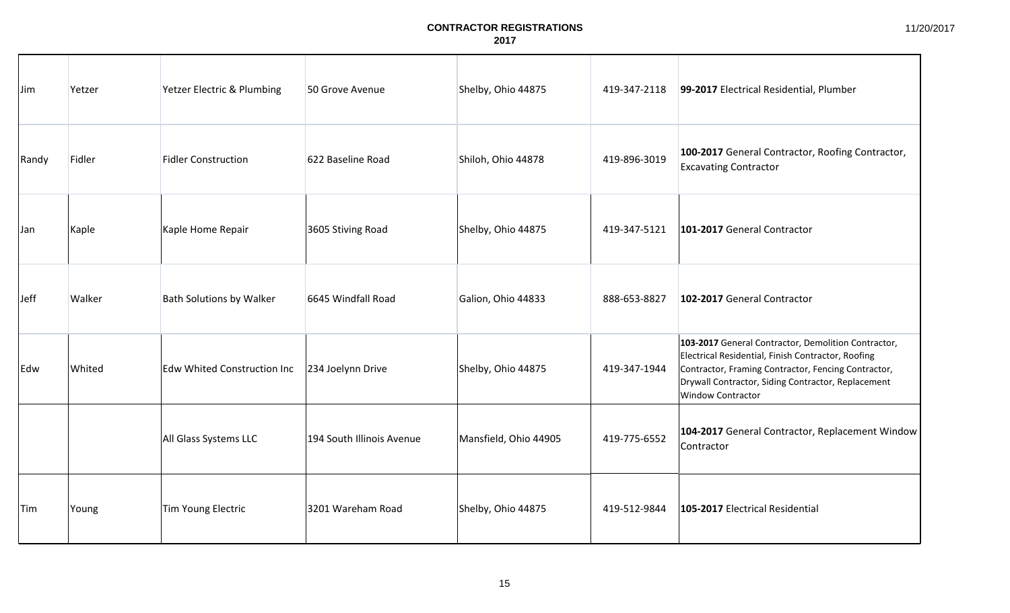| Jim        | Yetzer | Yetzer Electric & Plumbing         | 50 Grove Avenue           | Shelby, Ohio 44875    | 419-347-2118 | 99-2017 Electrical Residential, Plumber                                                                                                                                                                                                     |
|------------|--------|------------------------------------|---------------------------|-----------------------|--------------|---------------------------------------------------------------------------------------------------------------------------------------------------------------------------------------------------------------------------------------------|
| Randy      | Fidler | <b>Fidler Construction</b>         | 622 Baseline Road         | Shiloh, Ohio 44878    | 419-896-3019 | 100-2017 General Contractor, Roofing Contractor,<br><b>Excavating Contractor</b>                                                                                                                                                            |
| <b>Jan</b> | Kaple  | Kaple Home Repair                  | 3605 Stiving Road         | Shelby, Ohio 44875    | 419-347-5121 | 101-2017 General Contractor                                                                                                                                                                                                                 |
| Jeff       | Walker | <b>Bath Solutions by Walker</b>    | 6645 Windfall Road        | Galion, Ohio 44833    | 888-653-8827 | 102-2017 General Contractor                                                                                                                                                                                                                 |
| Edw        | Whited | <b>Edw Whited Construction Inc</b> | 234 Joelynn Drive         | Shelby, Ohio 44875    | 419-347-1944 | 103-2017 General Contractor, Demolition Contractor,<br>Electrical Residential, Finish Contractor, Roofing<br>Contractor, Framing Contractor, Fencing Contractor,<br>Drywall Contractor, Siding Contractor, Replacement<br>Window Contractor |
|            |        | All Glass Systems LLC              | 194 South Illinois Avenue | Mansfield, Ohio 44905 | 419-775-6552 | 104-2017 General Contractor, Replacement Window<br>Contractor                                                                                                                                                                               |
| Tim        | Young  | Tim Young Electric                 | 3201 Wareham Road         | Shelby, Ohio 44875    | 419-512-9844 | 105-2017 Electrical Residential                                                                                                                                                                                                             |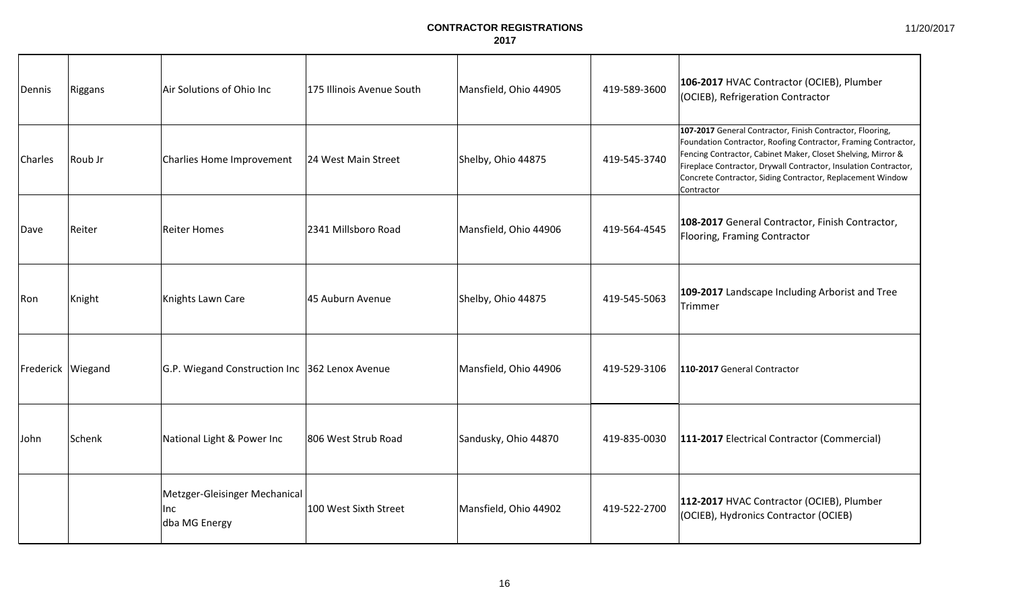11/20/2017

| Dennis              | Riggans | Air Solutions of Ohio Inc                                    | 175 Illinois Avenue South | Mansfield, Ohio 44905 | 419-589-3600 | 106-2017 HVAC Contractor (OCIEB), Plumber<br>(OCIEB), Refrigeration Contractor                                                                                                                                                                                                                                                              |
|---------------------|---------|--------------------------------------------------------------|---------------------------|-----------------------|--------------|---------------------------------------------------------------------------------------------------------------------------------------------------------------------------------------------------------------------------------------------------------------------------------------------------------------------------------------------|
| Charles             | Roub Jr | Charlies Home Improvement                                    | 24 West Main Street       | Shelby, Ohio 44875    | 419-545-3740 | 107-2017 General Contractor, Finish Contractor, Flooring,<br>Foundation Contractor, Roofing Contractor, Framing Contractor,<br>Fencing Contractor, Cabinet Maker, Closet Shelving, Mirror &<br>Fireplace Contractor, Drywall Contractor, Insulation Contractor,<br>Concrete Contractor, Siding Contractor, Replacement Window<br>Contractor |
| Dave                | Reiter  | Reiter Homes                                                 | 2341 Millsboro Road       | Mansfield, Ohio 44906 | 419-564-4545 | 108-2017 General Contractor, Finish Contractor,<br>Flooring, Framing Contractor                                                                                                                                                                                                                                                             |
| Ron                 | Knight  | Knights Lawn Care                                            | 45 Auburn Avenue          | Shelby, Ohio 44875    | 419-545-5063 | 109-2017 Landscape Including Arborist and Tree<br>Trimmer                                                                                                                                                                                                                                                                                   |
| Frederick   Wiegand |         | G.P. Wiegand Construction Inc 362 Lenox Avenue               |                           | Mansfield, Ohio 44906 | 419-529-3106 | 110-2017 General Contractor                                                                                                                                                                                                                                                                                                                 |
| John                | Schenk  | National Light & Power Inc                                   | 806 West Strub Road       | Sandusky, Ohio 44870  | 419-835-0030 | 111-2017 Electrical Contractor (Commercial)                                                                                                                                                                                                                                                                                                 |
|                     |         | Metzger-Gleisinger Mechanical<br><b>Inc</b><br>dba MG Energy | 100 West Sixth Street     | Mansfield, Ohio 44902 | 419-522-2700 | 112-2017 HVAC Contractor (OCIEB), Plumber<br>(OCIEB), Hydronics Contractor (OCIEB)                                                                                                                                                                                                                                                          |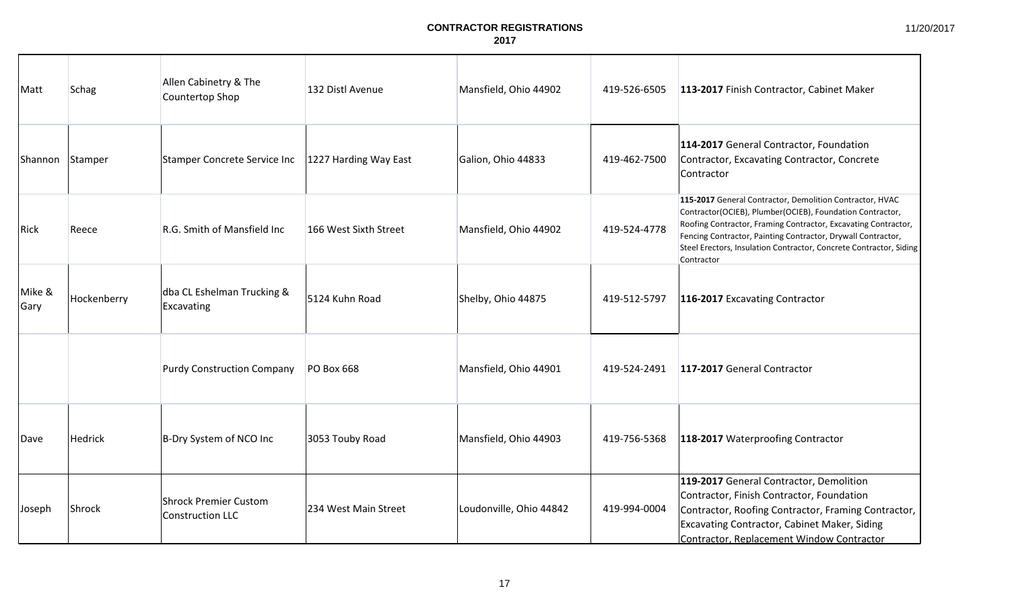11/20/2017

| Matt           | <b>Schag</b> | Allen Cabinetry & The<br>Countertop Shop         | 132 Distl Avenue      | Mansfield, Ohio 44902   | 419-526-6505 | 113-2017 Finish Contractor, Cabinet Maker                                                                                                                                                                                                                                                                                                   |
|----------------|--------------|--------------------------------------------------|-----------------------|-------------------------|--------------|---------------------------------------------------------------------------------------------------------------------------------------------------------------------------------------------------------------------------------------------------------------------------------------------------------------------------------------------|
| Shannon        | Stamper      | Stamper Concrete Service Inc                     | 1227 Harding Way East | Galion, Ohio 44833      | 419-462-7500 | 114-2017 General Contractor, Foundation<br>Contractor, Excavating Contractor, Concrete<br>Contractor                                                                                                                                                                                                                                        |
| Rick           | Reece        | R.G. Smith of Mansfield Inc                      | 166 West Sixth Street | Mansfield, Ohio 44902   | 419-524-4778 | 115-2017 General Contractor, Demolition Contractor, HVAC<br>Contractor(OCIEB), Plumber(OCIEB), Foundation Contractor,<br>Roofing Contractor, Framing Contractor, Excavating Contractor,<br>Fencing Contractor, Painting Contractor, Drywall Contractor,<br>Steel Erectors, Insulation Contractor, Concrete Contractor, Siding<br>Contractor |
| Mike &<br>Gary | Hockenberry  | dba CL Eshelman Trucking &<br>Excavating         | 5124 Kuhn Road        | Shelby, Ohio 44875      | 419-512-5797 | 116-2017 Excavating Contractor                                                                                                                                                                                                                                                                                                              |
|                |              | <b>Purdy Construction Company</b>                | PO Box 668            | Mansfield, Ohio 44901   | 419-524-2491 | 117-2017 General Contractor                                                                                                                                                                                                                                                                                                                 |
| Dave           | Hedrick      | B-Dry System of NCO Inc                          | 3053 Touby Road       | Mansfield, Ohio 44903   | 419-756-5368 | 118-2017 Waterproofing Contractor                                                                                                                                                                                                                                                                                                           |
| Joseph         | Shrock       | <b>Shrock Premier Custom</b><br>Construction LLC | 234 West Main Street  | Loudonville, Ohio 44842 | 419-994-0004 | 119-2017 General Contractor, Demolition<br>Contractor, Finish Contractor, Foundation<br>Contractor, Roofing Contractor, Framing Contractor,<br>Excavating Contractor, Cabinet Maker, Siding<br>Contractor, Replacement Window Contractor                                                                                                    |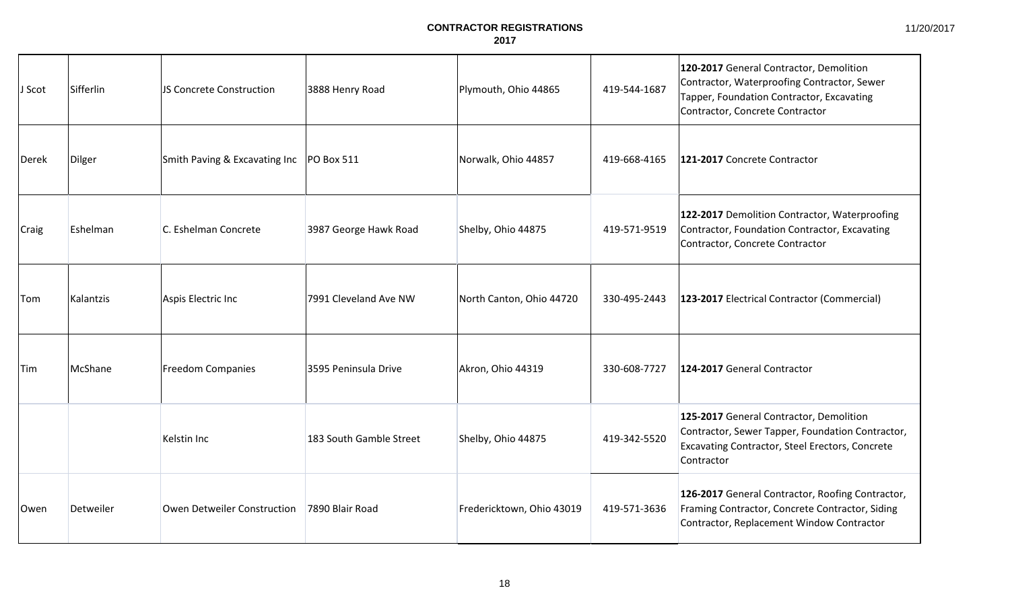| J Scot | Sifferlin | JS Concrete Construction                   | 3888 Henry Road         | Plymouth, Ohio 44865      | 419-544-1687 | 120-2017 General Contractor, Demolition<br>Contractor, Waterproofing Contractor, Sewer<br>Tapper, Foundation Contractor, Excavating<br>Contractor, Concrete Contractor |
|--------|-----------|--------------------------------------------|-------------------------|---------------------------|--------------|------------------------------------------------------------------------------------------------------------------------------------------------------------------------|
| Derek  | Dilger    | Smith Paving & Excavating Inc   PO Box 511 |                         | Norwalk, Ohio 44857       | 419-668-4165 | 121-2017 Concrete Contractor                                                                                                                                           |
| Craig  | Eshelman  | C. Eshelman Concrete                       | 3987 George Hawk Road   | Shelby, Ohio 44875        | 419-571-9519 | 122-2017 Demolition Contractor, Waterproofing<br>Contractor, Foundation Contractor, Excavating<br>Contractor, Concrete Contractor                                      |
| Tom    | Kalantzis | Aspis Electric Inc                         | 7991 Cleveland Ave NW   | North Canton, Ohio 44720  | 330-495-2443 | 123-2017 Electrical Contractor (Commercial)                                                                                                                            |
| Tim    | McShane   | Freedom Companies                          | 3595 Peninsula Drive    | Akron, Ohio 44319         | 330-608-7727 | 124-2017 General Contractor                                                                                                                                            |
|        |           | Kelstin Inc                                | 183 South Gamble Street | Shelby, Ohio 44875        | 419-342-5520 | 125-2017 General Contractor, Demolition<br>Contractor, Sewer Tapper, Foundation Contractor,<br>Excavating Contractor, Steel Erectors, Concrete<br>Contractor           |
| Owen   | Detweiler | Owen Detweiler Construction                | 7890 Blair Road         | Fredericktown, Ohio 43019 | 419-571-3636 | 126-2017 General Contractor, Roofing Contractor,<br>Framing Contractor, Concrete Contractor, Siding<br>Contractor, Replacement Window Contractor                       |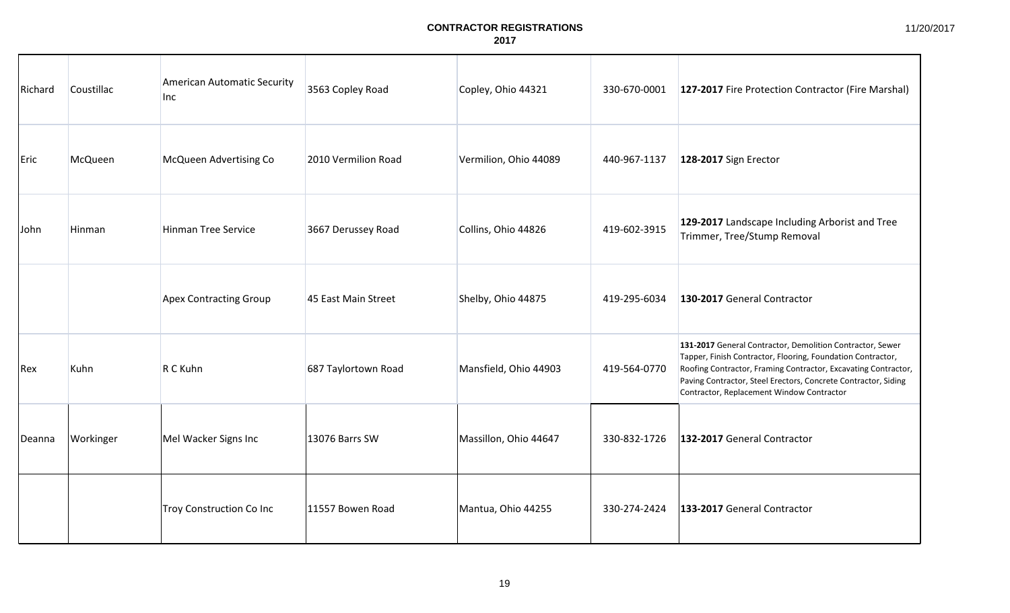| Richard | Coustillac | American Automatic Security<br><b>Inc</b> | 3563 Copley Road    | Copley, Ohio 44321    | 330-670-0001 | 127-2017 Fire Protection Contractor (Fire Marshal)                                                                                                                                                                                                                                                        |
|---------|------------|-------------------------------------------|---------------------|-----------------------|--------------|-----------------------------------------------------------------------------------------------------------------------------------------------------------------------------------------------------------------------------------------------------------------------------------------------------------|
| Eric    | McQueen    | McQueen Advertising Co                    | 2010 Vermilion Road | Vermilion, Ohio 44089 | 440-967-1137 | 128-2017 Sign Erector                                                                                                                                                                                                                                                                                     |
| John    | Hinman     | <b>Hinman Tree Service</b>                | 3667 Derussey Road  | Collins, Ohio 44826   | 419-602-3915 | 129-2017 Landscape Including Arborist and Tree<br>Trimmer, Tree/Stump Removal                                                                                                                                                                                                                             |
|         |            | <b>Apex Contracting Group</b>             | 45 East Main Street | Shelby, Ohio 44875    | 419-295-6034 | 130-2017 General Contractor                                                                                                                                                                                                                                                                               |
| Rex     | Kuhn       | R C Kuhn                                  | 687 Taylortown Road | Mansfield, Ohio 44903 | 419-564-0770 | 131-2017 General Contractor, Demolition Contractor, Sewer<br>Tapper, Finish Contractor, Flooring, Foundation Contractor,<br>Roofing Contractor, Framing Contractor, Excavating Contractor,<br>Paving Contractor, Steel Erectors, Concrete Contractor, Siding<br>Contractor, Replacement Window Contractor |
| Deanna  | Workinger  | Mel Wacker Signs Inc                      | 13076 Barrs SW      | Massillon, Ohio 44647 | 330-832-1726 | 132-2017 General Contractor                                                                                                                                                                                                                                                                               |
|         |            | <b>Troy Construction Co Inc</b>           | 11557 Bowen Road    | Mantua, Ohio 44255    | 330-274-2424 | 133-2017 General Contractor                                                                                                                                                                                                                                                                               |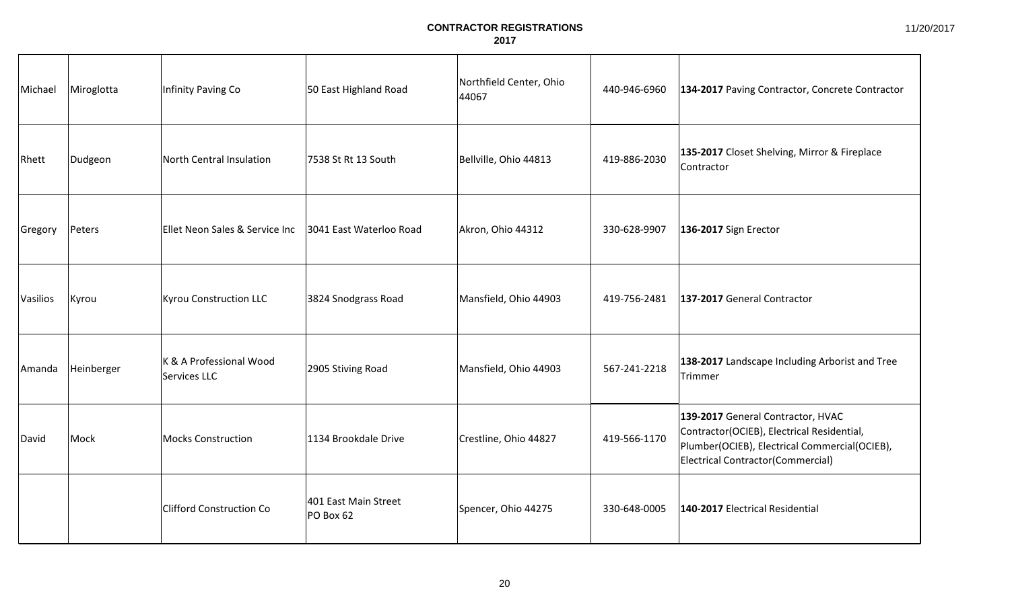11/20/2017

| Michael  | Miroglotta | Infinity Paving Co                      | 50 East Highland Road             | Northfield Center, Ohio<br>44067 | 440-946-6960 | 134-2017 Paving Contractor, Concrete Contractor                                                                                                                       |
|----------|------------|-----------------------------------------|-----------------------------------|----------------------------------|--------------|-----------------------------------------------------------------------------------------------------------------------------------------------------------------------|
| Rhett    | Dudgeon    | North Central Insulation                | 7538 St Rt 13 South               | Bellville, Ohio 44813            | 419-886-2030 | 135-2017 Closet Shelving, Mirror & Fireplace<br>Contractor                                                                                                            |
| Gregory  | Peters     | Ellet Neon Sales & Service Inc          | 3041 East Waterloo Road           | Akron, Ohio 44312                | 330-628-9907 | 136-2017 Sign Erector                                                                                                                                                 |
| Vasilios | Kyrou      | <b>Kyrou Construction LLC</b>           | 3824 Snodgrass Road               | Mansfield, Ohio 44903            | 419-756-2481 | 137-2017 General Contractor                                                                                                                                           |
| Amanda   | Heinberger | K & A Professional Wood<br>Services LLC | 2905 Stiving Road                 | Mansfield, Ohio 44903            | 567-241-2218 | 138-2017 Landscape Including Arborist and Tree<br>Trimmer                                                                                                             |
| David    | Mock       | <b>Mocks Construction</b>               | 1134 Brookdale Drive              | Crestline, Ohio 44827            | 419-566-1170 | 139-2017 General Contractor, HVAC<br>Contractor(OCIEB), Electrical Residential,<br>Plumber(OCIEB), Electrical Commercial(OCIEB),<br>Electrical Contractor(Commercial) |
|          |            | <b>Clifford Construction Co</b>         | 401 East Main Street<br>PO Box 62 | Spencer, Ohio 44275              | 330-648-0005 | 140-2017 Electrical Residential                                                                                                                                       |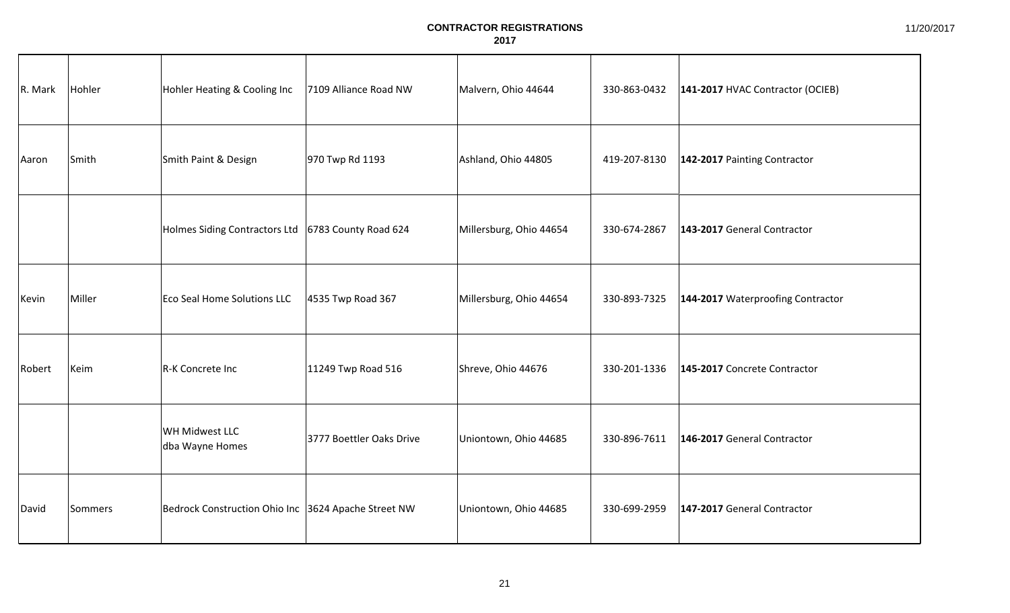| R. Mark | Hohler  | Hohler Heating & Cooling Inc                         | 7109 Alliance Road NW    | Malvern, Ohio 44644     | 330-863-0432 | 141-2017 HVAC Contractor (OCIEB)  |
|---------|---------|------------------------------------------------------|--------------------------|-------------------------|--------------|-----------------------------------|
| Aaron   | Smith   | Smith Paint & Design                                 | 970 Twp Rd 1193          | Ashland, Ohio 44805     | 419-207-8130 | 142-2017 Painting Contractor      |
|         |         | Holmes Siding Contractors Ltd   6783 County Road 624 |                          | Millersburg, Ohio 44654 | 330-674-2867 | 143-2017 General Contractor       |
| Kevin   | Miller  | Eco Seal Home Solutions LLC                          | 4535 Twp Road 367        | Millersburg, Ohio 44654 | 330-893-7325 | 144-2017 Waterproofing Contractor |
| Robert  | Keim    | R-K Concrete Inc                                     | 11249 Twp Road 516       | Shreve, Ohio 44676      | 330-201-1336 | 145-2017 Concrete Contractor      |
|         |         | WH Midwest LLC<br>dba Wayne Homes                    | 3777 Boettler Oaks Drive | Uniontown, Ohio 44685   | 330-896-7611 | 146-2017 General Contractor       |
| David   | Sommers | Bedrock Construction Ohio Inc 3624 Apache Street NW  |                          | Uniontown, Ohio 44685   | 330-699-2959 | 147-2017 General Contractor       |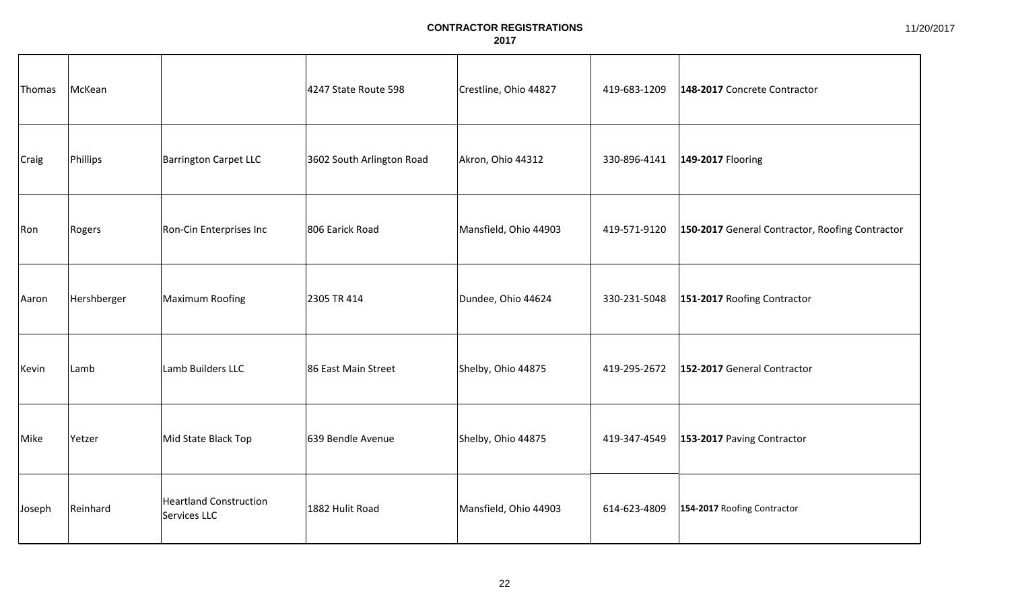| Thomas       | McKean      |                                               | 4247 State Route 598      | Crestline, Ohio 44827 | 419-683-1209 | 148-2017 Concrete Contractor                    |
|--------------|-------------|-----------------------------------------------|---------------------------|-----------------------|--------------|-------------------------------------------------|
| <b>Craig</b> | Phillips    | <b>Barrington Carpet LLC</b>                  | 3602 South Arlington Road | Akron, Ohio 44312     | 330-896-4141 | 149-2017 Flooring                               |
| Ron          | Rogers      | Ron-Cin Enterprises Inc                       | 806 Earick Road           | Mansfield, Ohio 44903 | 419-571-9120 | 150-2017 General Contractor, Roofing Contractor |
| Aaron        | Hershberger | Maximum Roofing                               | 2305 TR 414               | Dundee, Ohio 44624    | 330-231-5048 | 151-2017 Roofing Contractor                     |
| Kevin        | Lamb        | Lamb Builders LLC                             | 86 East Main Street       | Shelby, Ohio 44875    | 419-295-2672 | 152-2017 General Contractor                     |
| Mike         | Yetzer      | Mid State Black Top                           | 639 Bendle Avenue         | Shelby, Ohio 44875    | 419-347-4549 | 153-2017 Paving Contractor                      |
| Joseph       | Reinhard    | <b>Heartland Construction</b><br>Services LLC | 1882 Hulit Road           | Mansfield, Ohio 44903 | 614-623-4809 | 154-2017 Roofing Contractor                     |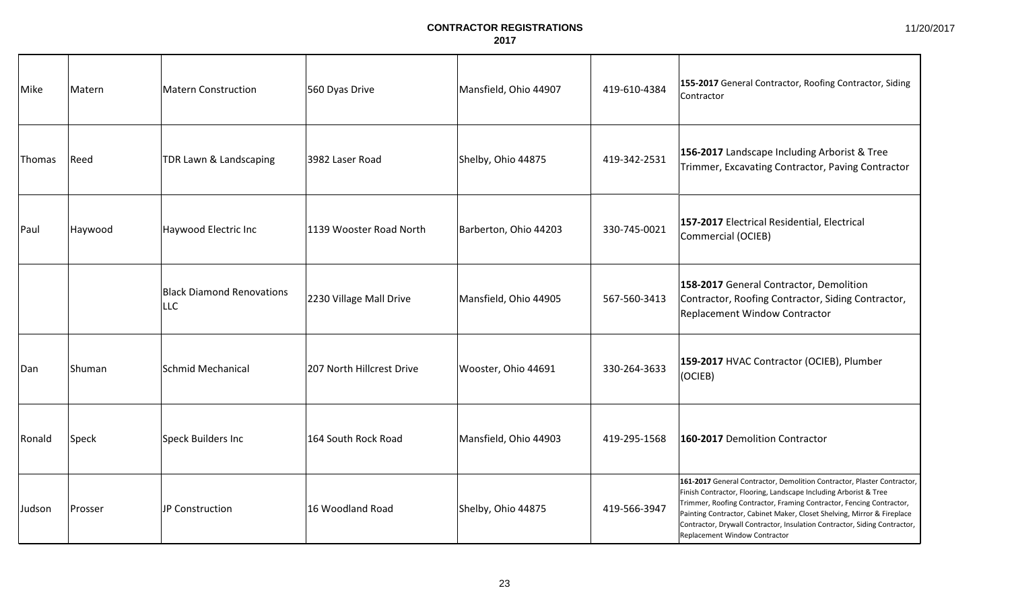| Mike   | Matern  | Matern Construction                            | 560 Dyas Drive            | Mansfield, Ohio 44907 | 419-610-4384 | 155-2017 General Contractor, Roofing Contractor, Siding<br>Contractor                                                                                                                                                                                                                                                                                                                                               |
|--------|---------|------------------------------------------------|---------------------------|-----------------------|--------------|---------------------------------------------------------------------------------------------------------------------------------------------------------------------------------------------------------------------------------------------------------------------------------------------------------------------------------------------------------------------------------------------------------------------|
| Thomas | Reed    | TDR Lawn & Landscaping                         | 3982 Laser Road           | Shelby, Ohio 44875    | 419-342-2531 | 156-2017 Landscape Including Arborist & Tree<br>Trimmer, Excavating Contractor, Paving Contractor                                                                                                                                                                                                                                                                                                                   |
| Paul   | Haywood | Haywood Electric Inc                           | 1139 Wooster Road North   | Barberton, Ohio 44203 | 330-745-0021 | 157-2017 Electrical Residential, Electrical<br>Commercial (OCIEB)                                                                                                                                                                                                                                                                                                                                                   |
|        |         | <b>Black Diamond Renovations</b><br><b>LLC</b> | 2230 Village Mall Drive   | Mansfield, Ohio 44905 | 567-560-3413 | 158-2017 General Contractor, Demolition<br>Contractor, Roofing Contractor, Siding Contractor,<br><b>Replacement Window Contractor</b>                                                                                                                                                                                                                                                                               |
| Dan    | Shuman  | Schmid Mechanical                              | 207 North Hillcrest Drive | Wooster, Ohio 44691   | 330-264-3633 | 159-2017 HVAC Contractor (OCIEB), Plumber<br>(OCIEB)                                                                                                                                                                                                                                                                                                                                                                |
| Ronald | Speck   | Speck Builders Inc                             | 164 South Rock Road       | Mansfield, Ohio 44903 | 419-295-1568 | 160-2017 Demolition Contractor                                                                                                                                                                                                                                                                                                                                                                                      |
| Judson | Prosser | JP Construction                                | 16 Woodland Road          | Shelby, Ohio 44875    | 419-566-3947 | 161-2017 General Contractor, Demolition Contractor, Plaster Contractor,<br>Finish Contractor, Flooring, Landscape Including Arborist & Tree<br>Trimmer, Roofing Contractor, Framing Contractor, Fencing Contractor,<br>Painting Contractor, Cabinet Maker, Closet Shelving, Mirror & Fireplace<br>Contractor, Drywall Contractor, Insulation Contractor, Siding Contractor,<br><b>Replacement Window Contractor</b> |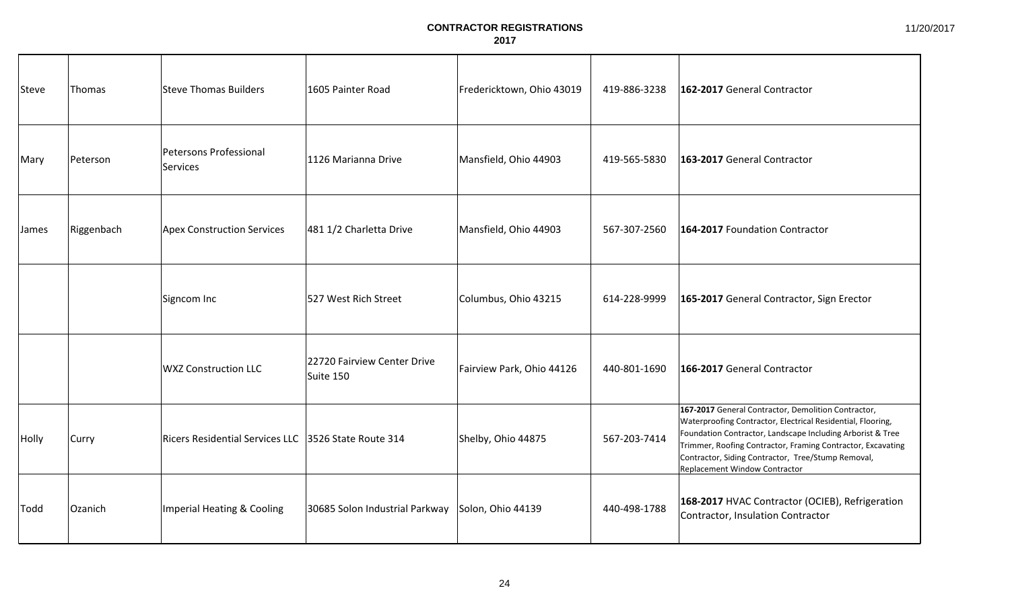| Steve | Thomas     | Steve Thomas Builders                                | 1605 Painter Road                        | Fredericktown, Ohio 43019 | 419-886-3238 | 162-2017 General Contractor                                                                                                                                                                                                                                                                                                            |
|-------|------------|------------------------------------------------------|------------------------------------------|---------------------------|--------------|----------------------------------------------------------------------------------------------------------------------------------------------------------------------------------------------------------------------------------------------------------------------------------------------------------------------------------------|
| Mary  | Peterson   | Petersons Professional<br>Services                   | 1126 Marianna Drive                      | Mansfield, Ohio 44903     | 419-565-5830 | 163-2017 General Contractor                                                                                                                                                                                                                                                                                                            |
| James | Riggenbach | Apex Construction Services                           | 481 1/2 Charletta Drive                  | Mansfield, Ohio 44903     | 567-307-2560 | 164-2017 Foundation Contractor                                                                                                                                                                                                                                                                                                         |
|       |            | Signcom Inc                                          | 527 West Rich Street                     | Columbus, Ohio 43215      | 614-228-9999 | 165-2017 General Contractor, Sign Erector                                                                                                                                                                                                                                                                                              |
|       |            | <b>WXZ Construction LLC</b>                          | 22720 Fairview Center Drive<br>Suite 150 | Fairview Park, Ohio 44126 | 440-801-1690 | 166-2017 General Contractor                                                                                                                                                                                                                                                                                                            |
| Holly | Curry      | Ricers Residential Services LLC 3526 State Route 314 |                                          | Shelby, Ohio 44875        | 567-203-7414 | 167-2017 General Contractor, Demolition Contractor,<br>Waterproofing Contractor, Electrical Residential, Flooring,<br>Foundation Contractor, Landscape Including Arborist & Tree<br>Trimmer, Roofing Contractor, Framing Contractor, Excavating<br>Contractor, Siding Contractor, Tree/Stump Removal,<br>Replacement Window Contractor |
| Todd  | Ozanich    | Imperial Heating & Cooling                           | 30685 Solon Industrial Parkway           | Solon, Ohio 44139         | 440-498-1788 | 168-2017 HVAC Contractor (OCIEB), Refrigeration<br>Contractor, Insulation Contractor                                                                                                                                                                                                                                                   |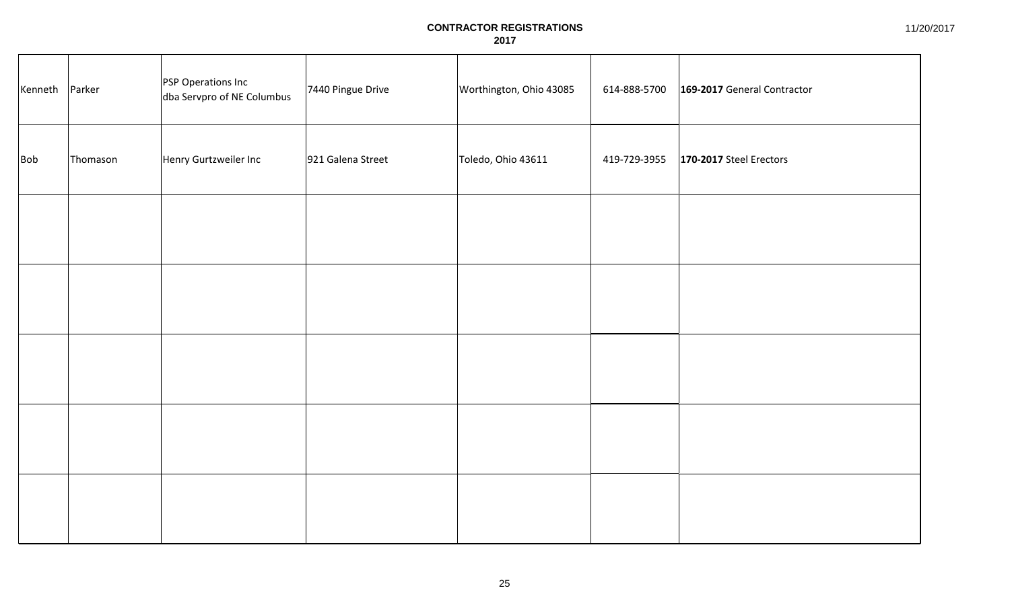| Kenneth Parker |          | PSP Operations Inc<br>dba Servpro of NE Columbus | 7440 Pingue Drive | Worthington, Ohio 43085 | 614-888-5700 | 169-2017 General Contractor |
|----------------|----------|--------------------------------------------------|-------------------|-------------------------|--------------|-----------------------------|
| <b>Bob</b>     | Thomason | Henry Gurtzweiler Inc                            | 921 Galena Street | Toledo, Ohio 43611      | 419-729-3955 | 170-2017 Steel Erectors     |
|                |          |                                                  |                   |                         |              |                             |
|                |          |                                                  |                   |                         |              |                             |
|                |          |                                                  |                   |                         |              |                             |
|                |          |                                                  |                   |                         |              |                             |
|                |          |                                                  |                   |                         |              |                             |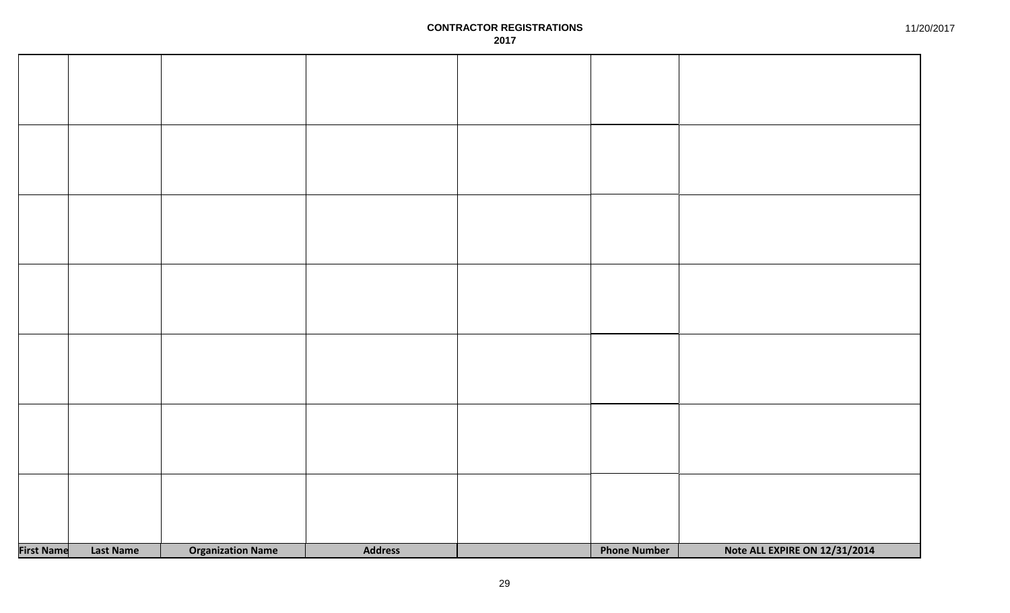| <b>First Name</b> | <b>Last Name</b> | <b>Organization Name</b> | <b>Address</b> | <b>Phone Number</b> | Note ALL EXPIRE ON 12/31/2014 |
|-------------------|------------------|--------------------------|----------------|---------------------|-------------------------------|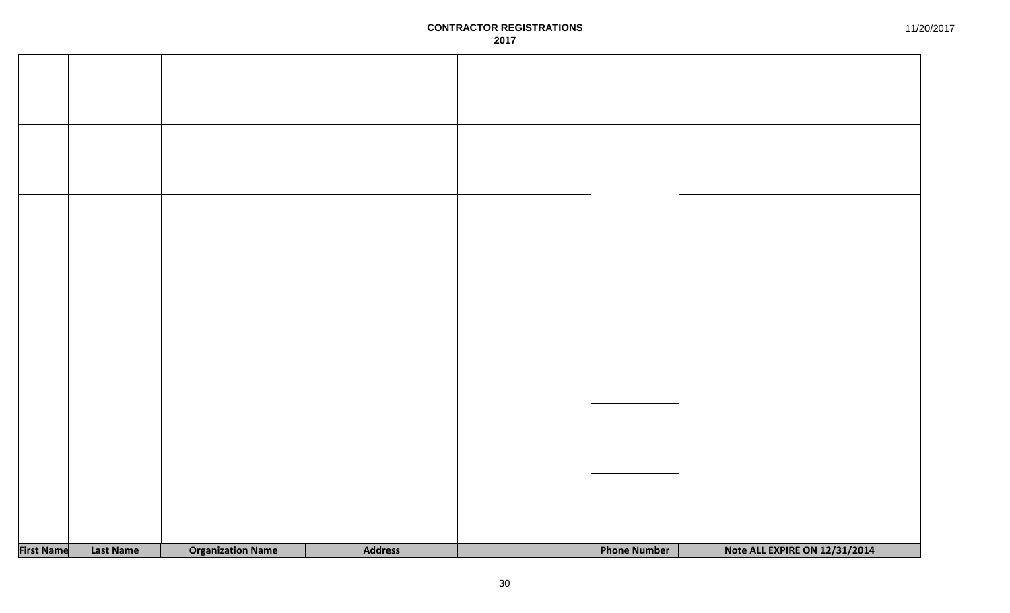| <b>First Name</b> | <b>Last Name</b> | <b>Organization Name</b> | <b>Address</b> | <b>Phone Number</b> | Note ALL EXPIRE ON 12/31/2014 |
|-------------------|------------------|--------------------------|----------------|---------------------|-------------------------------|